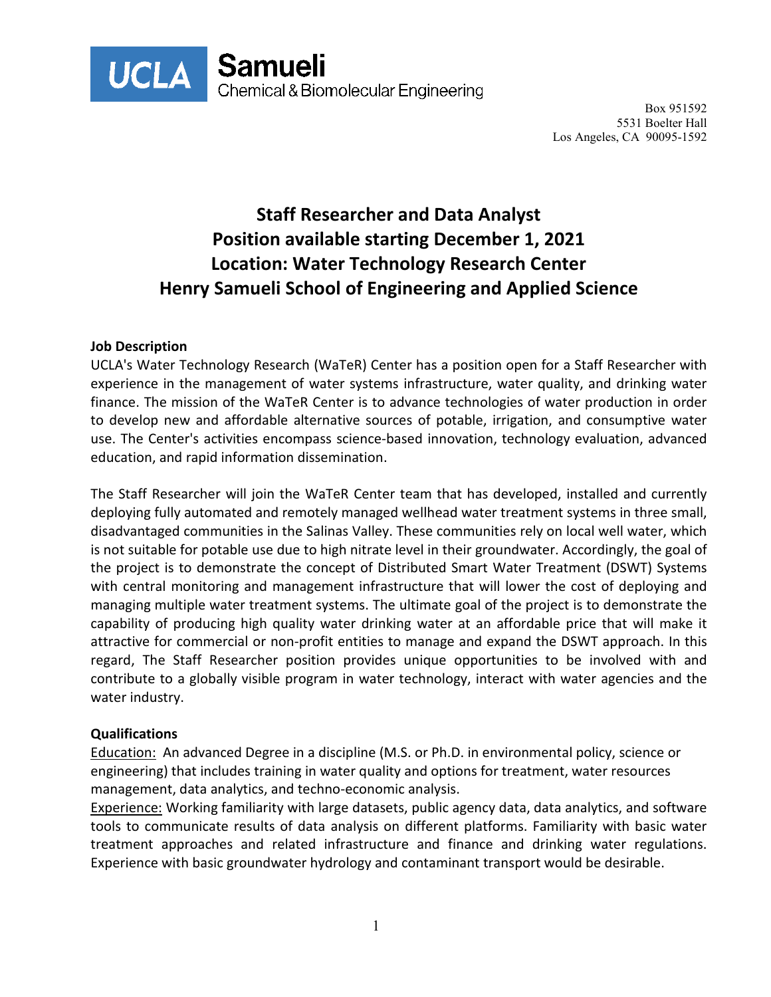

Box 951592 5531 Boelter Hall Los Angeles, CA 90095-1592

# **Staff Researcher and Data Analyst Position available starting December 1, 2021 Location: Water Technology Research Center Henry Samueli School of Engineering and Applied Science**

### **Job Description**

UCLA's Water Technology Research (WaTeR) Center has a position open for a Staff Researcher with experience in the management of water systems infrastructure, water quality, and drinking water finance. The mission of the WaTeR Center is to advance technologies of water production in order to develop new and affordable alternative sources of potable, irrigation, and consumptive water use. The Center's activities encompass science-based innovation, technology evaluation, advanced education, and rapid information dissemination.

The Staff Researcher will join the WaTeR Center team that has developed, installed and currently deploying fully automated and remotely managed wellhead water treatment systems in three small, disadvantaged communities in the Salinas Valley. These communities rely on local well water, which is not suitable for potable use due to high nitrate level in their groundwater. Accordingly, the goal of the project is to demonstrate the concept of Distributed Smart Water Treatment (DSWT) Systems with central monitoring and management infrastructure that will lower the cost of deploying and managing multiple water treatment systems. The ultimate goal of the project is to demonstrate the capability of producing high quality water drinking water at an affordable price that will make it attractive for commercial or non-profit entities to manage and expand the DSWT approach. In this regard, The Staff Researcher position provides unique opportunities to be involved with and contribute to a globally visible program in water technology, interact with water agencies and the water industry.

#### **Qualifications**

Education: An advanced Degree in a discipline (M.S. or Ph.D. in environmental policy, science or engineering) that includes training in water quality and options for treatment, water resources management, data analytics, and techno-economic analysis.

Experience: Working familiarity with large datasets, public agency data, data analytics, and software tools to communicate results of data analysis on different platforms. Familiarity with basic water treatment approaches and related infrastructure and finance and drinking water regulations. Experience with basic groundwater hydrology and contaminant transport would be desirable.